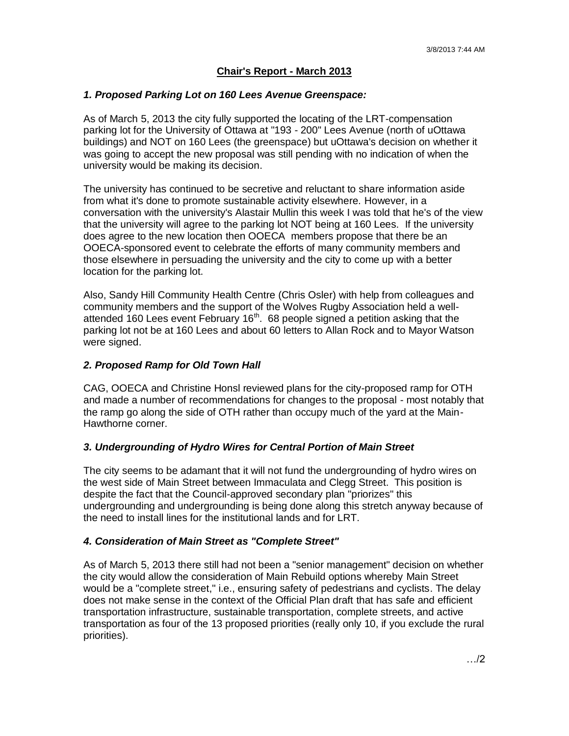# **Chair's Report - March 2013**

### *1. Proposed Parking Lot on 160 Lees Avenue Greenspace:*

As of March 5, 2013 the city fully supported the locating of the LRT-compensation parking lot for the University of Ottawa at "193 - 200" Lees Avenue (north of uOttawa buildings) and NOT on 160 Lees (the greenspace) but uOttawa's decision on whether it was going to accept the new proposal was still pending with no indication of when the university would be making its decision.

The university has continued to be secretive and reluctant to share information aside from what it's done to promote sustainable activity elsewhere. However, in a conversation with the university's Alastair Mullin this week I was told that he's of the view that the university will agree to the parking lot NOT being at 160 Lees. If the university does agree to the new location then OOECA members propose that there be an OOECA-sponsored event to celebrate the efforts of many community members and those elsewhere in persuading the university and the city to come up with a better location for the parking lot.

Also, Sandy Hill Community Health Centre (Chris Osler) with help from colleagues and community members and the support of the Wolves Rugby Association held a wellattended 160 Lees event February 16<sup>th</sup>. 68 people signed a petition asking that the parking lot not be at 160 Lees and about 60 letters to Allan Rock and to Mayor Watson were signed.

### *2. Proposed Ramp for Old Town Hall*

CAG, OOECA and Christine Honsl reviewed plans for the city-proposed ramp for OTH and made a number of recommendations for changes to the proposal - most notably that the ramp go along the side of OTH rather than occupy much of the yard at the Main-Hawthorne corner.

#### *3. Undergrounding of Hydro Wires for Central Portion of Main Street*

The city seems to be adamant that it will not fund the undergrounding of hydro wires on the west side of Main Street between Immaculata and Clegg Street. This position is despite the fact that the Council-approved secondary plan "priorizes" this undergrounding and undergrounding is being done along this stretch anyway because of the need to install lines for the institutional lands and for LRT.

#### *4. Consideration of Main Street as "Complete Street"*

As of March 5, 2013 there still had not been a "senior management" decision on whether the city would allow the consideration of Main Rebuild options whereby Main Street would be a "complete street," i.e., ensuring safety of pedestrians and cyclists. The delay does not make sense in the context of the Official Plan draft that has safe and efficient transportation infrastructure, sustainable transportation, complete streets, and active transportation as four of the 13 proposed priorities (really only 10, if you exclude the rural priorities).